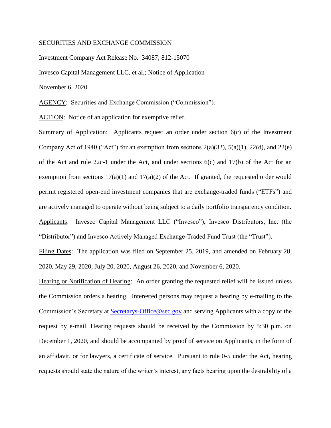## SECURITIES AND EXCHANGE COMMISSION

Investment Company Act Release No. 34087; 812-15070

Invesco Capital Management LLC, et al.; Notice of Application

November 6, 2020

AGENCY: Securities and Exchange Commission ("Commission").

ACTION: Notice of an application for exemptive relief.

Summary of Application: Applicants request an order under section 6(c) of the Investment Company Act of 1940 ("Act") for an exemption from sections  $2(a)(32)$ ,  $5(a)(1)$ ,  $22(d)$ , and  $22(e)$ of the Act and rule 22c-1 under the Act, and under sections 6(c) and 17(b) of the Act for an exemption from sections  $17(a)(1)$  and  $17(a)(2)$  of the Act. If granted, the requested order would permit registered open-end investment companies that are exchange-traded funds ("ETFs") and are actively managed to operate without being subject to a daily portfolio transparency condition. Applicants: Invesco Capital Management LLC ("Invesco"), Invesco Distributors, Inc. (the "Distributor") and Invesco Actively Managed Exchange-Traded Fund Trust (the "Trust").

Filing Dates: The application was filed on September 25, 2019, and amended on February 28, 2020, May 29, 2020, July 20, 2020, August 26, 2020, and November 6, 2020.

Hearing or Notification of Hearing: An order granting the requested relief will be issued unless the Commission orders a hearing. Interested persons may request a hearing by e-mailing to the Commission's Secretary at [Secretarys-Office@sec.gov](mailto:Secretarys-Office@sec.gov) and serving Applicants with a copy of the request by e-mail. Hearing requests should be received by the Commission by 5:30 p.m. on December 1, 2020, and should be accompanied by proof of service on Applicants, in the form of an affidavit, or for lawyers, a certificate of service. Pursuant to rule 0-5 under the Act, hearing requests should state the nature of the writer's interest, any facts bearing upon the desirability of a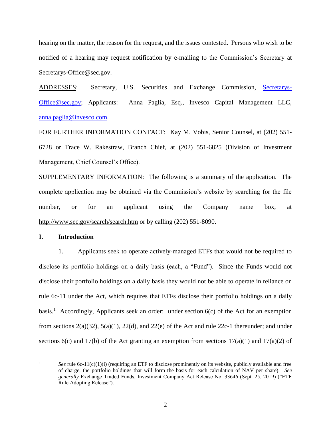hearing on the matter, the reason for the request, and the issues contested. Persons who wish to be notified of a hearing may request notification by e-mailing to the Commission's Secretary at Secretarys-Office@sec.gov.

ADDRESSES: Secretary, U.S. Securities and Exchange Commission, [Secretarys-](mailto:Secretarys-Office@sec.gov)[Office@sec.gov;](mailto:Secretarys-Office@sec.gov) Applicants: Anna Paglia, Esq., Invesco Capital Management LLC, [anna.paglia@invesco.com.](mailto:anna.paglia@invesco.com)

FOR FURTHER INFORMATION CONTACT: Kay M. Vobis, Senior Counsel, at (202) 551- 6728 or Trace W. Rakestraw, Branch Chief, at (202) 551-6825 (Division of Investment Management, Chief Counsel's Office).

SUPPLEMENTARY INFORMATION: The following is a summary of the application. The complete application may be obtained via the Commission's website by searching for the file number, or for an applicant using the Company name box, at <http://www.sec.gov/search/search.htm> or by calling (202) 551-8090.

## **I. Introduction**

1. Applicants seek to operate actively-managed ETFs that would not be required to disclose its portfolio holdings on a daily basis (each, a "Fund"). Since the Funds would not disclose their portfolio holdings on a daily basis they would not be able to operate in reliance on rule 6c-11 under the Act, which requires that ETFs disclose their portfolio holdings on a daily basis.<sup>1</sup> Accordingly, Applicants seek an order: under section 6(c) of the Act for an exemption from sections 2(a)(32), 5(a)(1), 22(d), and 22(e) of the Act and rule 22c-1 thereunder; and under sections  $6(c)$  and  $17(b)$  of the Act granting an exemption from sections  $17(a)(1)$  and  $17(a)(2)$  of

<span id="page-1-0"></span> $\overline{a}$ See rule 6c-11(c)(1)(i) (requiring an ETF to disclose prominently on its website, publicly available and free of charge, the portfolio holdings that will form the basis for each calculation of NAV per share). *See generally* Exchange Traded Funds, Investment Company Act Release No. 33646 (Sept. 25, 2019) ("ETF Rule Adopting Release").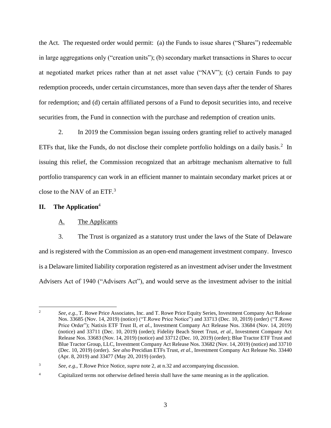the Act. The requested order would permit: (a) the Funds to issue shares ("Shares") redeemable in large aggregations only ("creation units"); (b) secondary market transactions in Shares to occur at negotiated market prices rather than at net asset value ("NAV"); (c) certain Funds to pay redemption proceeds, under certain circumstances, more than seven days after the tender of Shares for redemption; and (d) certain affiliated persons of a Fund to deposit securities into, and receive securities from, the Fund in connection with the purchase and redemption of creation units.

2. In 2019 the Commission began issuing orders granting relief to actively managed ETFs that, like the Funds, do not disclose their complete portfolio holdings on a daily basis.<sup>2</sup> In issuing this relief, the Commission recognized that an arbitrage mechanism alternative to full portfolio transparency can work in an efficient manner to maintain secondary market prices at or close to the NAV of an ETF.<sup>3</sup>

# **II. The Application**<sup>4</sup>

# <span id="page-2-0"></span>A. The Applicants

3. The Trust is organized as a statutory trust under the laws of the State of Delaware and is registered with the Commission as an open-end management investment company. Invesco is a Delaware limited liability corporation registered as an investment adviser under the Investment Advisers Act of 1940 ("Advisers Act"), and would serve as the investment adviser to the initial

 $\overline{2}$ <sup>2</sup> *See, e.g.*, T. Rowe Price Associates, Inc. and T. Rowe Price Equity Series, Investment Company Act Release Nos. 33685 (Nov. 14, 2019) (notice) ("T.Rowe Price Notice") and 33713 (Dec. 10, 2019) (order) ("T.Rowe Price Order"); Natixis ETF Trust II, *et al.*, Investment Company Act Release Nos. 33684 (Nov. 14, 2019) (notice) and 33711 (Dec. 10, 2019) (order); Fidelity Beach Street Trust, *et al.*, Investment Company Act Release Nos. 33683 (Nov. 14, 2019) (notice) and 33712 (Dec. 10, 2019) (order); Blue Tractor ETF Trust and Blue Tractor Group, LLC, Investment Company Act Release Nos. 33682 (Nov. 14, 2019) (notice) and 33710 (Dec. 10, 2019) (order). *See also* Precidian ETFs Trust, *et al.*, Investment Company Act Release No. 33440 (Apr. 8, 2019) and 33477 (May 20, 2019) (order).

<sup>3</sup> *See, e.g.*, T.Rowe Price Notice, *supra* not[e 2,](#page-2-0) at n.32 and accompanying discussion.

<sup>&</sup>lt;sup>4</sup> Capitalized terms not otherwise defined herein shall have the same meaning as in the application.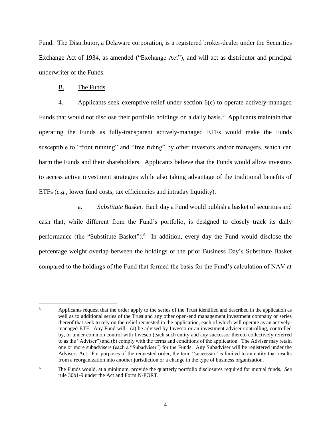Fund. The Distributor, a Delaware corporation, is a registered broker-dealer under the Securities Exchange Act of 1934, as amended ("Exchange Act"), and will act as distributor and principal underwriter of the Funds.

## B. The Funds

4. Applicants seek exemptive relief under section 6(c) to operate actively-managed Funds that would not disclose their portfolio holdings on a daily basis.<sup>5</sup> Applicants maintain that operating the Funds as fully-transparent actively-managed ETFs would make the Funds susceptible to "front running" and "free riding" by other investors and/or managers, which can harm the Funds and their shareholders. Applicants believe that the Funds would allow investors to access active investment strategies while also taking advantage of the traditional benefits of ETFs (*e.g.*, lower fund costs, tax efficiencies and intraday liquidity).

a. *Substitute Basket.* Each day a Fund would publish a basket of securities and cash that, while different from the Fund's portfolio, is designed to closely track its daily performance (the "Substitute Basket").<sup>6</sup> In addition, every day the Fund would disclose the percentage weight overlap between the holdings of the prior Business Day's Substitute Basket compared to the holdings of the Fund that formed the basis for the Fund's calculation of NAV at

 $\overline{5}$ <sup>5</sup> Applicants request that the order apply to the series of the Trust identified and described in the application as well as to additional series of the Trust and any other open-end management investment company or series thereof that seek to rely on the relief requested in the application, each of which will operate as an activelymanaged ETF. Any Fund will: (a) be advised by Invesco or an investment adviser controlling, controlled by, or under common control with Invesco (each such entity and any successor thereto collectively referred to as the "Adviser") and (b) comply with the terms and conditions of the application. The Adviser may retain one or more subadvisers (each a "Subadviser") for the Funds. Any Subadviser will be registered under the Advisers Act. For purposes of the requested order, the term "successor" is limited to an entity that results from a reorganization into another jurisdiction or a change in the type of business organization.

<sup>6</sup> The Funds would, at a minimum, provide the quarterly portfolio disclosures required for mutual funds. *See* rule 30b1-9 under the Act and Form N-PORT.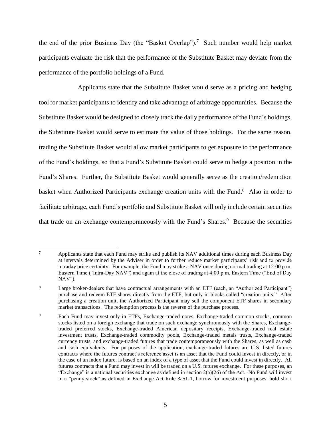the end of the prior Business Day (the "Basket Overlap").<sup>7</sup> Such number would help market participants evaluate the risk that the performance of the Substitute Basket may deviate from the performance of the portfolio holdings of a Fund.

Applicants state that the Substitute Basket would serve as a pricing and hedging tool for market participants to identify and take advantage of arbitrage opportunities. Because the Substitute Basket would be designed to closely track the daily performance of the Fund's holdings, the Substitute Basket would serve to estimate the value of those holdings. For the same reason, trading the Substitute Basket would allow market participants to get exposure to the performance of the Fund's holdings, so that a Fund's Substitute Basket could serve to hedge a position in the Fund's Shares. Further, the Substitute Basket would generally serve as the creation/redemption basket when Authorized Participants exchange creation units with the Fund.<sup>8</sup> Also in order to facilitate arbitrage, each Fund's portfolio and Substitute Basket will only include certain securities that trade on an exchange contemporaneously with the Fund's Shares. $9$  Because the securities

 $\overline{7}$ <sup>7</sup> Applicants state that each Fund may strike and publish its NAV additional times during each Business Day at intervals determined by the Adviser in order to further reduce market participants' risk and to provide intraday price certainty. For example, the Fund may strike a NAV once during normal trading at 12:00 p.m. Eastern Time ("Intra-Day NAV") and again at the close of trading at 4:00 p.m. Eastern Time ("End of Day NAV").

<sup>&</sup>lt;sup>8</sup> Large broker-dealers that have contractual arrangements with an ETF (each, an "Authorized Participant") purchase and redeem ETF shares directly from the ETF, but only in blocks called "creation units." After purchasing a creation unit, the Authorized Participant may sell the component ETF shares in secondary market transactions. The redemption process is the reverse of the purchase process.

<sup>9</sup> Each Fund may invest only in ETFs, Exchange-traded notes, Exchange-traded common stocks, common stocks listed on a foreign exchange that trade on such exchange synchronously with the Shares, Exchangetraded preferred stocks, Exchange-traded American depositary receipts, Exchange-traded real estate investment trusts, Exchange-traded commodity pools, Exchange-traded metals trusts, Exchange-traded currency trusts, and exchange-traded futures that trade contemporaneously with the Shares, as well as cash and cash equivalents. For purposes of the application, exchange-traded futures are U.S. listed futures contracts where the futures contract's reference asset is an asset that the Fund could invest in directly, or in the case of an index future, is based on an index of a type of asset that the Fund could invest in directly. All futures contracts that a Fund may invest in will be traded on a U.S. futures exchange. For these purposes, an "Exchange" is a national securities exchange as defined in section  $2(a)(26)$  of the Act. No Fund will invest in a "penny stock" as defined in Exchange Act Rule 3a51-1, borrow for investment purposes, hold short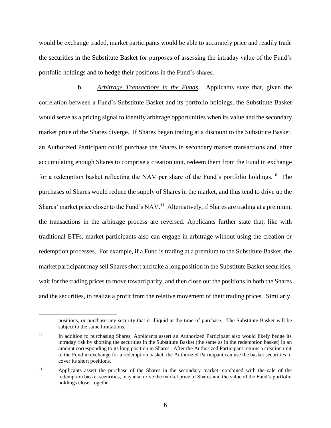would be exchange traded, market participants would be able to accurately price and readily trade the securities in the Substitute Basket for purposes of assessing the intraday value of the Fund's portfolio holdings and to hedge their positions in the Fund's shares.

b. *Arbitrage Transactions in the Funds.* Applicants state that, given the correlation between a Fund's Substitute Basket and its portfolio holdings, the Substitute Basket would serve as a pricing signal to identify arbitrage opportunities when its value and the secondary market price of the Shares diverge. If Shares began trading at a discount to the Substitute Basket, an Authorized Participant could purchase the Shares in secondary market transactions and, after accumulating enough Shares to comprise a creation unit, redeem them from the Fund in exchange for a redemption basket reflecting the NAV per share of the Fund's portfolio holdings.<sup>10</sup> The purchases of Shares would reduce the supply of Shares in the market, and thus tend to drive up the Shares' market price closer to the Fund's  $NAV<sup>11</sup>$  Alternatively, if Shares are trading at a premium, the transactions in the arbitrage process are reversed. Applicants further state that, like with traditional ETFs, market participants also can engage in arbitrage without using the creation or redemption processes. For example, if a Fund is trading at a premium to the Substitute Basket, the market participant may sell Shares short and take a long position in the Substitute Basket securities, wait for the trading prices to move toward parity, and then close out the positions in both the Shares and the securities, to realize a profit from the relative movement of their trading prices. Similarly,

 $\overline{a}$ 

positions, or purchase any security that is illiquid at the time of purchase. The Substitute Basket will be subject to the same limitations.

<sup>&</sup>lt;sup>10</sup> In addition to purchasing Shares, Applicants assert an Authorized Participant also would likely hedge its intraday risk by shorting the securities in the Substitute Basket (the same as in the redemption basket) in an amount corresponding to its long position in Shares. After the Authorized Participant returns a creation unit to the Fund in exchange for a redemption basket, the Authorized Participant can use the basket securities to cover its short positions.

<sup>&</sup>lt;sup>11</sup> Applicants assert the purchase of the Shares in the secondary market, combined with the sale of the redemption basket securities, may also drive the market price of Shares and the value of the Fund's portfolio holdings closer together.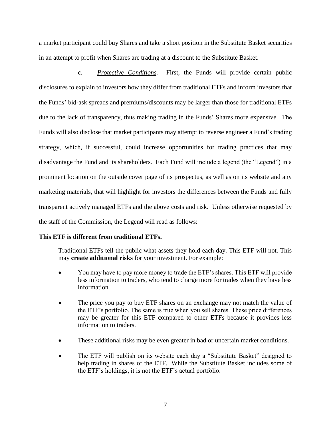a market participant could buy Shares and take a short position in the Substitute Basket securities in an attempt to profit when Shares are trading at a discount to the Substitute Basket.

c. *Protective Conditions.* First, the Funds will provide certain public disclosures to explain to investors how they differ from traditional ETFs and inform investors that the Funds' bid-ask spreads and premiums/discounts may be larger than those for traditional ETFs due to the lack of transparency, thus making trading in the Funds' Shares more expensive. The Funds will also disclose that market participants may attempt to reverse engineer a Fund's trading strategy, which, if successful, could increase opportunities for trading practices that may disadvantage the Fund and its shareholders. Each Fund will include a legend (the "Legend") in a prominent location on the outside cover page of its prospectus, as well as on its website and any marketing materials, that will highlight for investors the differences between the Funds and fully transparent actively managed ETFs and the above costs and risk. Unless otherwise requested by the staff of the Commission, the Legend will read as follows:

# **This ETF is different from traditional ETFs.**

Traditional ETFs tell the public what assets they hold each day. This ETF will not. This may **create additional risks** for your investment. For example:

- You may have to pay more money to trade the ETF's shares. This ETF will provide less information to traders, who tend to charge more for trades when they have less information.
- The price you pay to buy ETF shares on an exchange may not match the value of the ETF's portfolio. The same is true when you sell shares. These price differences may be greater for this ETF compared to other ETFs because it provides less information to traders.
- These additional risks may be even greater in bad or uncertain market conditions.
- The ETF will publish on its website each day a "Substitute Basket" designed to help trading in shares of the ETF. While the Substitute Basket includes some of the ETF's holdings, it is not the ETF's actual portfolio.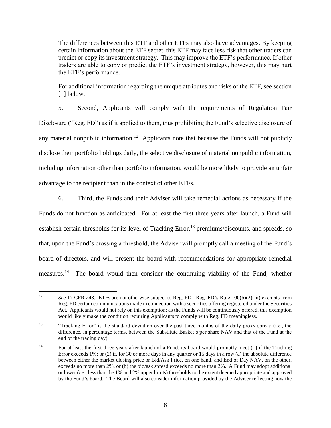The differences between this ETF and other ETFs may also have advantages. By keeping certain information about the ETF secret, this ETF may face less risk that other traders can predict or copy its investment strategy. This may improve the ETF's performance. If other traders are able to copy or predict the ETF's investment strategy, however, this may hurt the ETF's performance.

For additional information regarding the unique attributes and risks of the ETF, see section [ ] below.

5. Second, Applicants will comply with the requirements of Regulation Fair Disclosure ("Reg. FD") as if it applied to them, thus prohibiting the Fund's selective disclosure of any material nonpublic information.<sup>12</sup> Applicants note that because the Funds will not publicly disclose their portfolio holdings daily, the selective disclosure of material nonpublic information, including information other than portfolio information, would be more likely to provide an unfair advantage to the recipient than in the context of other ETFs.

6. Third, the Funds and their Adviser will take remedial actions as necessary if the Funds do not function as anticipated. For at least the first three years after launch, a Fund will establish certain thresholds for its level of Tracking Error,<sup>13</sup> premiums/discounts, and spreads, so that, upon the Fund's crossing a threshold, the Adviser will promptly call a meeting of the Fund's board of directors, and will present the board with recommendations for appropriate remedial measures.<sup>14</sup> The board would then consider the continuing viability of the Fund, whether

 $\overline{a}$ <sup>12</sup> *See* 17 CFR 243. ETFs are not otherwise subject to Reg. FD. Reg. FD's Rule 100(b)(2)(iii) exempts from Reg. FD certain communications made in connection with a securities offering registered under the Securities Act. Applicants would not rely on this exemption; as the Funds will be continuously offered, this exemption would likely make the condition requiring Applicants to comply with Reg. FD meaningless.

<sup>&</sup>lt;sup>13</sup> "Tracking Error" is the standard deviation over the past three months of the daily proxy spread (i.e., the difference, in percentage terms, between the Substitute Basket's per share NAV and that of the Fund at the end of the trading day).

<sup>&</sup>lt;sup>14</sup> For at least the first three years after launch of a Fund, its board would promptly meet (1) if the Tracking Error exceeds 1%; or (2) if, for 30 or more days in any quarter or 15 days in a row (a) the absolute difference between either the market closing price or Bid/Ask Price, on one hand, and End of Day NAV, on the other, exceeds no more than 2%, or (b) the bid/ask spread exceeds no more than 2%. A Fund may adopt additional or lower (*i.e.,* less than the 1% and 2% upper limits) thresholds to the extent deemed appropriate and approved by the Fund's board. The Board will also consider information provided by the Adviser reflecting how the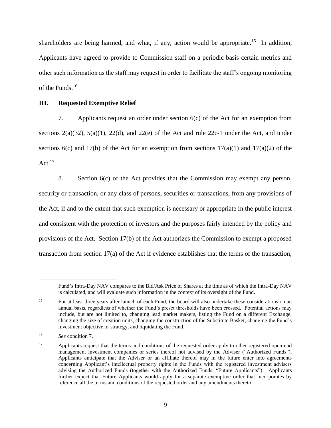shareholders are being harmed, and what, if any, action would be appropriate.<sup>15</sup> In addition, Applicants have agreed to provide to Commission staff on a periodic basis certain metrics and other such information as the staff may request in order to facilitate the staff's ongoing monitoring of the Funds.<sup>16</sup>

# **III. Requested Exemptive Relief**

7. Applicants request an order under section 6(c) of the Act for an exemption from sections  $2(a)(32)$ ,  $5(a)(1)$ ,  $22(d)$ , and  $22(e)$  of the Act and rule  $22c-1$  under the Act, and under sections 6(c) and 17(b) of the Act for an exemption from sections  $17(a)(1)$  and  $17(a)(2)$  of the Act. $17$ 

8. Section 6(c) of the Act provides that the Commission may exempt any person, security or transaction, or any class of persons, securities or transactions, from any provisions of the Act, if and to the extent that such exemption is necessary or appropriate in the public interest and consistent with the protection of investors and the purposes fairly intended by the policy and provisions of the Act. Section 17(b) of the Act authorizes the Commission to exempt a proposed transaction from section 17(a) of the Act if evidence establishes that the terms of the transaction,

 $\overline{a}$ 

Fund's Intra-Day NAV compares to the Bid/Ask Price of Shares at the time as of which the Intra-Day NAV is calculated, and will evaluate such information in the context of its oversight of the Fund.

<sup>&</sup>lt;sup>15</sup> For at least three years after launch of each Fund, the board will also undertake these considerations on an annual basis, regardless of whether the Fund's preset thresholds have been crossed. Potential actions may include, but are not limited to, changing lead market makers, listing the Fund on a different Exchange, changing the size of creation units, changing the construction of the Substitute Basket, changing the Fund's investment objective or strategy, and liquidating the Fund.

<sup>16</sup> *See* condition 7.

<sup>&</sup>lt;sup>17</sup> Applicants request that the terms and conditions of the requested order apply to other registered open-end management investment companies or series thereof not advised by the Adviser ("Authorized Funds"). Applicants anticipate that the Adviser or an affiliate thereof may in the future enter into agreements concerning Applicant's intellectual property rights in the Funds with the registered investment advisers advising the Authorized Funds (together with the Authorized Funds, "Future Applicants"). Applicants further expect that Future Applicants would apply for a separate exemptive order that incorporates by reference all the terms and conditions of the requested order and any amendments thereto.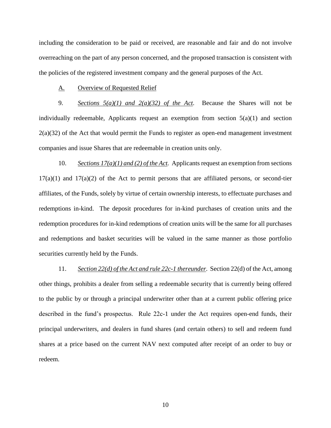including the consideration to be paid or received, are reasonable and fair and do not involve overreaching on the part of any person concerned, and the proposed transaction is consistent with the policies of the registered investment company and the general purposes of the Act.

#### A. Overview of Requested Relief

9. *Sections 5(a)(1) and 2(a)(32) of the Act.* Because the Shares will not be individually redeemable, Applicants request an exemption from section  $5(a)(1)$  and section  $2(a)(32)$  of the Act that would permit the Funds to register as open-end management investment companies and issue Shares that are redeemable in creation units only.

10. *Sections 17(a)(1) and (2) of the Act.* Applicants request an exemption from sections  $17(a)(1)$  and  $17(a)(2)$  of the Act to permit persons that are affiliated persons, or second-tier affiliates, of the Funds, solely by virtue of certain ownership interests, to effectuate purchases and redemptions in-kind. The deposit procedures for in-kind purchases of creation units and the redemption procedures for in-kind redemptions of creation units will be the same for all purchases and redemptions and basket securities will be valued in the same manner as those portfolio securities currently held by the Funds.

11. *Section 22(d) of the Act and rule 22c-1 thereunder*. Section 22(d) of the Act, among other things, prohibits a dealer from selling a redeemable security that is currently being offered to the public by or through a principal underwriter other than at a current public offering price described in the fund's prospectus. Rule 22c-1 under the Act requires open-end funds, their principal underwriters, and dealers in fund shares (and certain others) to sell and redeem fund shares at a price based on the current NAV next computed after receipt of an order to buy or redeem.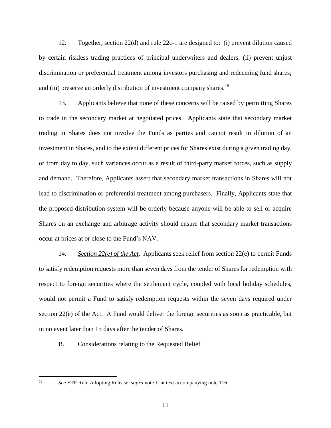12. Together, section 22(d) and rule 22c-1 are designed to: (i) prevent dilution caused by certain riskless trading practices of principal underwriters and dealers; (ii) prevent unjust discrimination or preferential treatment among investors purchasing and redeeming fund shares; and (iii) preserve an orderly distribution of investment company shares.<sup>18</sup>

13. Applicants believe that none of these concerns will be raised by permitting Shares to trade in the secondary market at negotiated prices. Applicants state that secondary market trading in Shares does not involve the Funds as parties and cannot result in dilution of an investment in Shares, and to the extent different prices for Shares exist during a given trading day, or from day to day, such variances occur as a result of third-party market forces, such as supply and demand. Therefore, Applicants assert that secondary market transactions in Shares will not lead to discrimination or preferential treatment among purchasers. Finally, Applicants state that the proposed distribution system will be orderly because anyone will be able to sell or acquire Shares on an exchange and arbitrage activity should ensure that secondary market transactions occur at prices at or close to the Fund's NAV.

14. *Section 22(e) of the Act*. Applicants seek relief from section 22(e) to permit Funds to satisfy redemption requests more than seven days from the tender of Shares for redemption with respect to foreign securities where the settlement cycle, coupled with local holiday schedules, would not permit a Fund to satisfy redemption requests within the seven days required under section 22(e) of the Act. A Fund would deliver the foreign securities as soon as practicable, but in no event later than 15 days after the tender of Shares.

## B. Considerations relating to the Requested Relief

<sup>18</sup> *See* ETF Rule Adopting Release, *supra* note [1,](#page-1-0) at text accompanying note 116.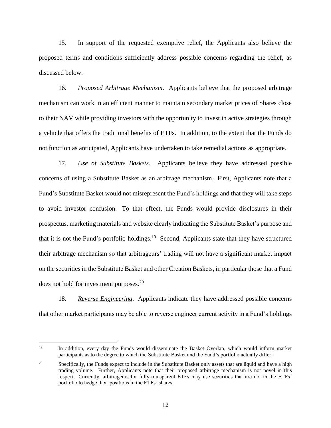15. In support of the requested exemptive relief, the Applicants also believe the proposed terms and conditions sufficiently address possible concerns regarding the relief, as discussed below.

16. *Proposed Arbitrage Mechanism*. Applicants believe that the proposed arbitrage mechanism can work in an efficient manner to maintain secondary market prices of Shares close to their NAV while providing investors with the opportunity to invest in active strategies through a vehicle that offers the traditional benefits of ETFs. In addition, to the extent that the Funds do not function as anticipated, Applicants have undertaken to take remedial actions as appropriate.

17. *Use of Substitute Baskets*. Applicants believe they have addressed possible concerns of using a Substitute Basket as an arbitrage mechanism. First, Applicants note that a Fund's Substitute Basket would not misrepresent the Fund's holdings and that they will take steps to avoid investor confusion. To that effect, the Funds would provide disclosures in their prospectus, marketing materials and website clearly indicating the Substitute Basket's purpose and that it is not the Fund's portfolio holdings.<sup>19</sup> Second, Applicants state that they have structured their arbitrage mechanism so that arbitrageurs' trading will not have a significant market impact on the securities in the Substitute Basket and other Creation Baskets, in particular those that a Fund does not hold for investment purposes.<sup>20</sup>

18. *Reverse Engineering*. Applicants indicate they have addressed possible concerns that other market participants may be able to reverse engineer current activity in a Fund's holdings

 $\overline{a}$ 

<sup>&</sup>lt;sup>19</sup> In addition, every day the Funds would disseminate the Basket Overlap, which would inform market participants as to the degree to which the Substitute Basket and the Fund's portfolio actually differ.

<sup>&</sup>lt;sup>20</sup> Specifically, the Funds expect to include in the Substitute Basket only assets that are liquid and have a high trading volume. Further, Applicants note that their proposed arbitrage mechanism is not novel in this respect. Currently, arbitrageurs for fully-transparent ETFs may use securities that are not in the ETFs' portfolio to hedge their positions in the ETFs' shares.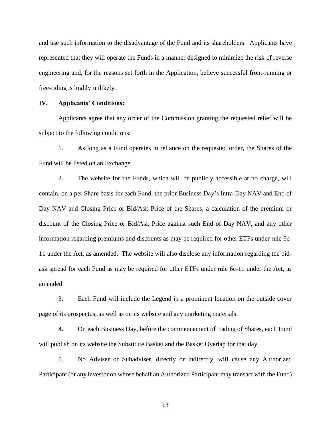and use such information to the disadvantage of the Fund and its shareholders. Applicants have represented that they will operate the Funds in a manner designed to minimize the risk of reverse engineering and, for the reasons set forth in the Application, believe successful front-running or free-riding is highly unlikely.

## **IV. Applicants' Conditions:**

Applicants agree that any order of the Commission granting the requested relief will be subject to the following conditions:

1. As long as a Fund operates in reliance on the requested order, the Shares of the Fund will be listed on an Exchange.

2. The website for the Funds, which will be publicly accessible at no charge, will contain, on a per Share basis for each Fund, the prior Business Day's Intra-Day NAV and End of Day NAV and Closing Price or Bid/Ask Price of the Shares, a calculation of the premium or discount of the Closing Price or Bid/Ask Price against such End of Day NAV, and any other information regarding premiums and discounts as may be required for other ETFs under rule 6c-11 under the Act, as amended. The website will also disclose any information regarding the bidask spread for each Fund as may be required for other ETFs under rule 6c-11 under the Act, as amended.

3. Each Fund will include the Legend in a prominent location on the outside cover page of its prospectus, as well as on its website and any marketing materials.

4. On each Business Day, before the commencement of trading of Shares, each Fund will publish on its website the Substitute Basket and the Basket Overlap for that day.

5. No Adviser or Subadviser, directly or indirectly, will cause any Authorized Participant (or any investor on whose behalf an Authorized Participant may transact with the Fund)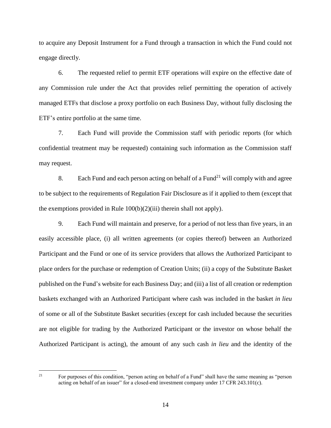to acquire any Deposit Instrument for a Fund through a transaction in which the Fund could not engage directly.

6. The requested relief to permit ETF operations will expire on the effective date of any Commission rule under the Act that provides relief permitting the operation of actively managed ETFs that disclose a proxy portfolio on each Business Day, without fully disclosing the ETF's entire portfolio at the same time.

7. Each Fund will provide the Commission staff with periodic reports (for which confidential treatment may be requested) containing such information as the Commission staff may request.

8. Each Fund and each person acting on behalf of a Fund<sup>21</sup> will comply with and agree to be subject to the requirements of Regulation Fair Disclosure as if it applied to them (except that the exemptions provided in Rule  $100(b)(2)(iii)$  therein shall not apply).

9. Each Fund will maintain and preserve, for a period of not less than five years, in an easily accessible place, (i) all written agreements (or copies thereof) between an Authorized Participant and the Fund or one of its service providers that allows the Authorized Participant to place orders for the purchase or redemption of Creation Units; (ii) a copy of the Substitute Basket published on the Fund's website for each Business Day; and (iii) a list of all creation or redemption baskets exchanged with an Authorized Participant where cash was included in the basket *in lieu* of some or all of the Substitute Basket securities (except for cash included because the securities are not eligible for trading by the Authorized Participant or the investor on whose behalf the Authorized Participant is acting), the amount of any such cash *in lieu* and the identity of the

<sup>21</sup> For purposes of this condition, "person acting on behalf of a Fund" shall have the same meaning as "person acting on behalf of an issuer" for a closed-end investment company under 17 CFR 243.101(c).